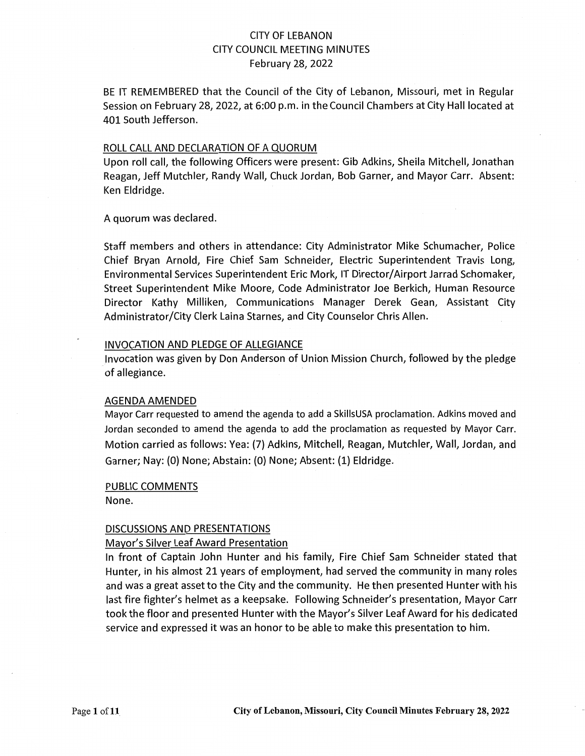## CITY OF LEBANON CITY COUNCIL MEETING MINUTES February 28, 2022

BE IT REMEMBERED that the Council of the City of Lebanon, Missouri, met in Regular Session on February 28, 2022, at 6:00 p.m. in the Council Chambers at City Hall located at 401 South Jefferson.

### ROLL CALL AND DECLARATION OF A QUORUM

Upon roll call, the following Officers were present: Gib Adkins, Sheila Mitchell, Jonathan Reagan, Jeff Mutchler, Randy Wall, Chuck Jordan, Bob Garner, and Mayor Carr. Absent: Ken Eldridge.

A quorum was declared.

Staff members and others in attendance: City Administrator Mike Schumacher, Police Chief Bryan Arnold, Fire Chief Sam Schneider, Electric Superintendent Travis Long, Environmental Services Superintendent Eric Mork, IT Director/ Airport Jarrad Schomaker, Street Superintendent Mike Moore, Code Administrator Joe Berkich, Human Resource Director Kathy Milliken, Communications Manager Derek Gean, Assistant City Administrator/City Clerk Laina Starnes, and City Counselor Chris Allen.

#### INVOCATION AND PLEDGE OF ALLEGIANCE

Invocation was given by Don Anderson of Union Mission Church, followed by the pledge of allegiance.

#### AGENDA AMENDED

Mayor Carr requested to amend the agenda to add a SkillsUSA proclamation. Adkins moved and Jordan seconded to amend the agenda to add the proclamation as requested by Mayor Carr. Motion carried as follows: Yea: (7) Adkins, Mitchell, Reagan, Mutchler, Wall, Jordan, and Garner; Nay: (0) None; Abstain: {O) None; Absent: {1) Eldridge.

#### PUBLIC COMMENTS

None.

#### DISCUSSIONS AND PRESENTATIONS

#### Mayor's Silver Leaf Award Presentation

In front of Captain John Hunter and his family, Fire Chief Sam Schneider stated that Hunter, in his almost 21 years of employment, had served the community in many roles and was a great asset to the City and the community. He then presented Hunter with his last fire fighter's helmet as a keepsake. Following Schneider's presentation, Mayor Carr took the floor and presented Hunter with the Mayor's Silver Leaf Award for his dedicated service and expressed it was an honor to be able to make this presentation to him.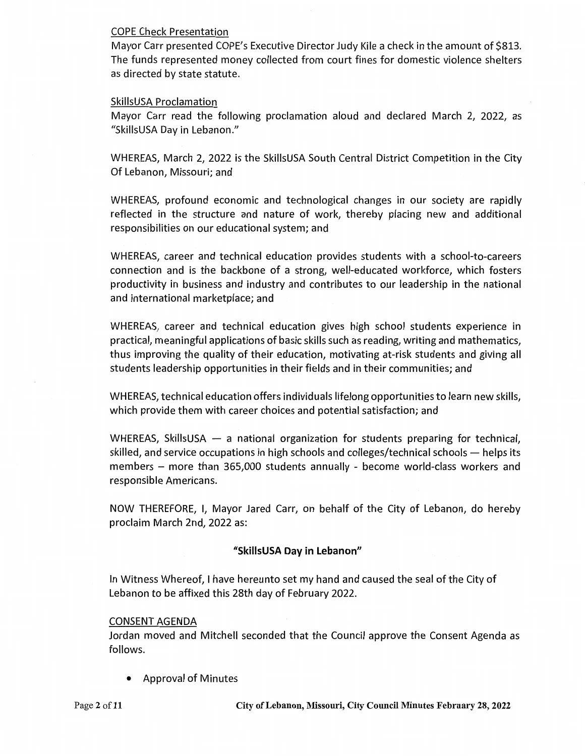### COPE Check Presentation

Mayor Carr presented COPE's Executive Director Judy Kile a check in the amount of \$813. The funds represented money collected from court fines for domestic violence shelters as directed by state statute.

### SkillsUSA Proclamation

Mayor Carr read the following proclamation aloud and declared March 2, 2022, as "SkillsUSA Day in Lebanon."

WHEREAS, March 2, 2022 is the SkillsUSA South Central District Competition in the City Of Lebanon, Missouri; and

WHEREAS, profound economic and technological changes in our society are rapidly reflected in the structure and nature of work, thereby placing new and additional responsibilities on our educational system; and

WHEREAS, career and technical education provides students with a school-to-careers connection and is the backbone of a strong, well-educated workforce, which fosters productivity in business and industry and contributes to our leadership in the national and international marketplace; and

WHEREAS, career and technical education gives high school students experience in practical, meaningful applications of basic skills such as reading, writing and mathematics, thus improving the quality of their education, motivating at-risk students and giving all students leadership opportunities in their fields and in their communities; and

WHEREAS, technical education offers individuals lifelong opportunities to learn new skills, which provide them with career choices and potential satisfaction; and

WHEREAS, SkillsUSA  $-$  a national organization for students preparing for technical, skilled, and service occupations in high schools and colleges/technical schools - helps its members - more than 365,000 students annually - become world-class workers and responsible Americans.

NOW THEREFORE, I, Mayor Jared Carr, on behalf of the City of Lebanon, do hereby proclaim March 2nd, 2022 as:

## **"SkillsUSA Day in Lebanon"**

In Witness Whereof, I have hereunto set my hand and caused the seal of the City of Lebanon to be affixed this 28th day of February 2022.

### CONSENT AGENDA

Jordan moved and Mitchell seconded that the Council approve the Consent Agenda as follows.

• Approval of Minutes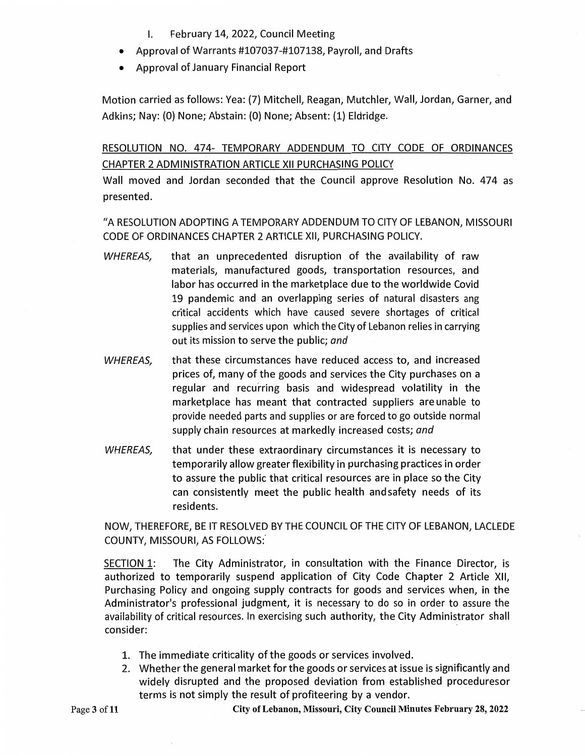- I. February 14, 2022, Council Meeting
- Approval of Warrants #107037-#107138, Payroll, and Drafts
- Approval of January Financial Report

Motion carried as follows: Yea: (7) Mitchell, Reagan, Mutchler, Wall, Jordan, Garner, and Adkins; Nay: (0) None; Abstain: (O) None; Absent: (1) Eldridge.

RESOLUTION NO. 474- TEMPORARY ADDENDUM TO CITY CODE OF ORDINANCES CHAPTER 2 ADMINISTRATION ARTICLE XII PURCHASING POLICY

Wall moved and Jordan seconded that the Council approve Resolution No. 474 as presented.

"A RESOLUTION ADOPTING A TEMPORARY ADDENDUM TO CITY OF LEBANON, MISSOURI CODE OF ORDINANCES CHAPTER 2 ARTICLE XII, PURCHASING POLICY.

- WHEREAS, that an unprecedented disruption of the availability of raw materials, manufactured goods, transportation resources, and labor has occurred in the marketplace due to the worldwide Covid 19 pandemic and an overlapping series of natural disasters ang critical accidents which have caused severe shortages of critical supplies and services upon which the City of Lebanon relies in carrying out its mission to serve the public; *and*
- WHEREAS, that these circumstances have reduced access to, and increased prices of, many of the goods and services the City purchases on a regular and recurring basis and widespread volatility in the marketplace has meant that contracted suppliers are unable to provide needed parts and supplies or are forced to go outside normal supply chain resources at markedly increased costs; *and*
- WHEREAS, that under these extraordinary circumstances it is necessary to temporarily allow greater flexibility in purchasing practices in order to assure the public that critical resources are in place so the City can consistently meet the public health and safety needs of its residents.

NOW, THEREFORE, BE IT RESOLVED BY THE COUNCIL OF THE CITY OF LEBANON, LACLEDE COUNTY, MISSOURI, AS FOLLOWS:·

SECTION 1: The City Administrator, in consultation with the Finance Director, is authorized to temporarily suspend application of City Code Chapter 2 Article XII, Purchasing Policy and ongoing supply contracts for goods and services when, in the Administrator's professional judgment, it is necessary to do so in order to assure the availability of critical resources. In exercising such authority, the City Administrator shall consider:

- 1. The immediate criticality of the goods or services involved.
- 2. Whether the general market for the goods or services at issue is significantly and widely disrupted and the proposed deviation from established proceduresor terms is not simply the result of profiteering by a vendor.

**City of Lebanon, Missouri, City Council Minutes February 28, 2022**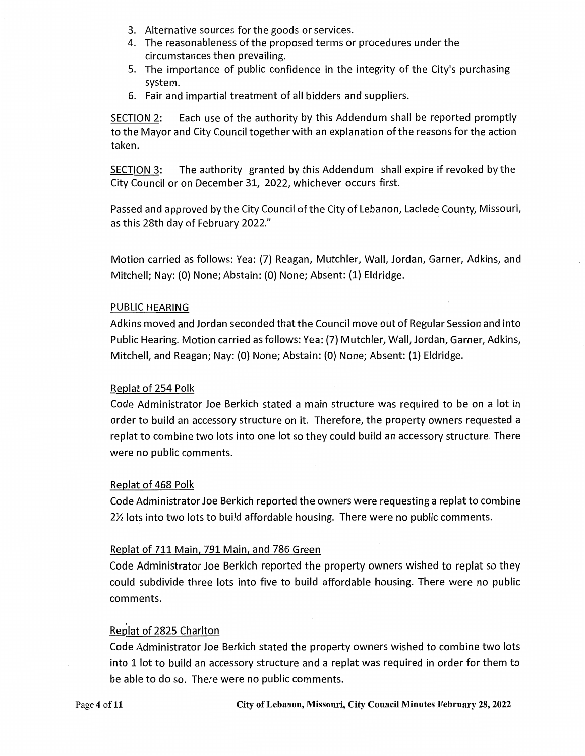- 3. Alternative sources for the goods or services.
- 4. The reasonableness of the proposed terms or procedures under the circumstances then prevailing.
- 5. The importance of public confidence in the integrity of the City's purchasing system.
- 6. Fair and impartial treatment of all bidders and suppliers.

SECTION 2: Each use of the authority by this Addendum shall be reported promptly to the Mayor and City Council together with an explanation of the reasons for the action taken.

SECTION 3: The authority granted by this Addendum shall expire if revoked by the City Council or on December 31, 2022, whichever occurs first.

Passed and approved by the City Council of the City of Lebanon, Laclede County, Missouri, as this 28th day of February 2022."

Motion carried as follows: Yea: (7) Reagan, Mutchler, Wall, Jordan, Garner, Adkins, and Mitchell; Nay: (0) None; Abstain: (0) None; Absent: (1) Eldridge.

### PUBLIC HEARING

Adkins moved and Jordan seconded that the Council move out of Regular Session and into Public Hearing. Motion carried as follows: Yea: (7) Mutchler, Wall, Jordan, Garner, Adkins, Mitchell, and Reagan; Nay: (0) None; Abstain: (0) None; Absent: (1) Eldridge.

#### Replat of 254 Polk

Code Administrator Joe Berkich stated a main structure was required to be on a lot in order to build an accessory structure on it. Therefore, the property owners requested a replat to combine two lots into one lot so they could build an accessory structure. There were no public comments.

#### Replat of 468 Polk

Code Administrator Joe Berkich reported the owners were requesting a replat to combine 2½ lots into two lots to build affordable housing. There were no public comments.

#### Replat of 711 Main, 791 Main, and 786 Green

Code Administrator Joe Berkich reported the property owners wished to replat so they could subdivide three lots into five to build affordable housing. There were no public comments.

### Replat of 2825 Charlton

Code Administrator Joe Berkich stated the property owners wished to combine two lots into 1 lot to build an accessory structure and a replat was required in order for them to be able to do so. There were no public comments.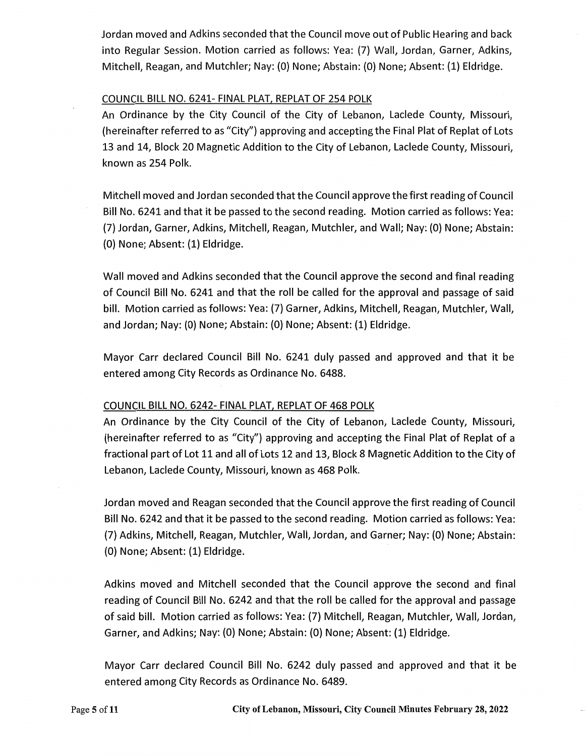Jordan moved and Adkins seconded that the Council move out of Public Hearing and back into Regular Session. Motion carried as follows: Yea: (7) Wall, Jordan, Garner, Adkins, Mitchell, Reagan, and Mutchler; Nay: (O) None; Abstain: (0) None; Absent: (1) Eldridge.

## COUNCIL BILL NO. 6241- FINAL PLAT, REPLAT OF 254 POLK

An Ordinance by the City Council of the City of Lebanon, Laclede County, Missouri, (hereinafter referred to as "City") approving and accepting the Final Plat of Replat of Lots 13 and 14, Block 20 Magnetic Addition to the City of Lebanon, Laclede County, Missouri, known as 254 Polk.

Mitchell moved and Jordan seconded that the Council approve the first reading of Council Bill No. 6241 and that it be passed to the second reading. Motion carried as follows: Yea: (7) Jordan, Garner, Adkins, Mitchell, Reagan, Mutchler, and Wall; Nay: (0) None; Abstain: (0) None; Absent: (1) Eldridge.

Wall moved and Adkins seconded that the Council approve the second and final reading of Council Bill No. 6241 and that the roll be called for the approval and passage of said bill. Motion carried as follows: Yea: (7) Garner, Adkins, Mitchell, Reagan, Mutchler, Wall, and Jordan; Nay: (0) None; Abstain: (0) None; Absent: (1) Eldridge.

Mayor Carr declared Council Bill No. 6241 duly passed and approved and that it be entered among City Records as Ordinance No. 6488.

## COUNCIL BILL NO. 6242- FINAL PLAT, REPLAT OF 468 POLK

An Ordinance by the City Council of the City of Lebanon, Laclede County, Missouri, (hereinafter referred to as "City") approving and accepting the Final Plat of Replat of a fractional part of Lot 11 and all of Lots 12 and 13, Block 8 Magnetic Addition to the City of Lebanon, Laclede County, Missouri, known as 468 Polk.

Jordan moved and Reagan seconded that the Council approve the first reading of Council Bill No. 6242 and that it be passed to the second reading. Motion carried as follows: Yea: (7) Adkins, Mitchell, Reagan, Mutchler, Wall, Jordan, and Garner; Nay: (0) None; Abstain: (0) None; Absent: (1) Eldridge.

Adkins moved and Mitchell seconded that the Council approve the second and final reading of Council Bill No. 6242 and that the roll be called for the approval and passage of said bill. Motion carried as follows: Yea: (7) Mitchell, Reagan, Mutchler, Wall, Jordan, Garner, and Adkins; Nay: (0) None; Abstain: (0) None; Absent: (1) Eldridge.

Mayor Carr declared Council Bill No. 6242 duly passed and approved and that it be entered among City Records as Ordinance No. 6489.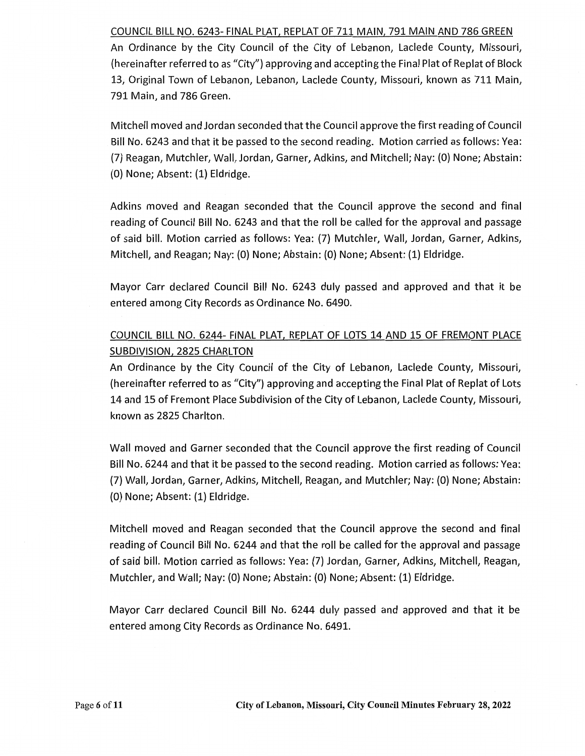### COUNCIL BILL NO. 6243- FINAL PLAT, REPLAT OF 711 MAIN, 791 MAIN AND 786 GREEN

An Ordinance by the City Council of the City of Lebanon, Laclede County, Missouri, (hereinafter referred to as "City") approving and accepting the Final Plat of Replat of Block 13, Original Town of Lebanon, Lebanon, Laclede County, Missouri, known as 711 Main, 791 Main, and 786 Green.

Mitchell moved and Jordan seconded that the Council approve the first reading of Council Bill No. 6243 and that it be passed to the second reading. Motion carried as follows: Yea: (7) Reagan, Mutchler, Wall, Jordan, Garner, Adkins, and Mitchell; Nay: (0) None; Abstain: (0) None; Absent: (1) Eldridge.

Adkins moved and Reagan seconded that the Council approve the second and final reading of Council Bill No. 6243 and that the roll be called for the approval and passage of said bill. Motion carried as follows: Yea: (7) Mutchler, Wall, Jordan, Garner, Adkins, Mitchell, and Reagan; Nay: (0) None; Abstain: (0) None; Absent: (1) Eldridge.

Mayor Carr declared Council Bill No. 6243 duly passed and approved and that it be entered among City Records as Ordinance No. 6490.

## COUNCIL BILL NO. 6244- FINAL PLAT, REPLAT OF LOTS 14 AND 15 OF FREMONT PLACE SUBDIVISION, 2825 CHARLTON

An Ordinance by the City Council of the City of Lebanon, Laclede County, Missouri, (hereinafter referred to as "City") approving and accepting the Final Plat of Replat of Lots 14 and 15 of Fremont Place Subdivision of the City of Lebanon, Laclede County, Missouri, known as 2825 Charlton.

Wall moved and Garner seconded that the Council approve the first reading of Council Bill No. 6244 and that it be passed to the second reading. Motion carried as follows: Yea:. (7) Wall, Jordan, Garner, Adkins, Mitchell, Reagan, and Mutchler; Nay: (0) None; Abstain: (0) None; Absent: (1) Eldridge.

Mitchell moved and Reagan seconded that the Council approve the second and final reading of Council Bill No. 6244 and that the roll be called for the approval and passage of said bill. Motion carried as follows: Yea: (7) Jordan, Garner, Adkins, Mitchell, Reagan, Mutchler, and Wall; Nay: (0) None; Abstain: (0) None; Absent: (1) Eldridge.

Mayor Carr declared Council Bill No. 6244 duly passed and approved and that it be entered among City Records as Ordinance No. 6491.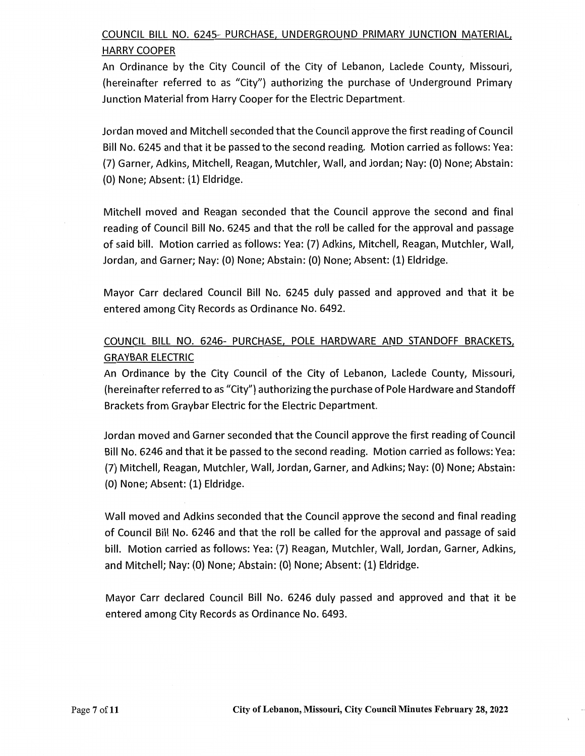# COUNCIL BILL NO. 6245- PURCHASE, UNDERGROUND PRIMARY JUNCTION MATERIAL, HARRY COOPER

An Ordinance by the City Council of the City of Lebanon, Laclede County, Missouri, (hereinafter referred to as "City") authorizing the purchase of Underground Primary Junction Material from Harry Cooper for the Electric Department.

Jordan moved and Mitchell seconded that the Council approve the first reading of Council Bill No. 6245 and that it be passed to the second reading. Motion carried as follows: Yea: (7) Garner, Adkins, Mitchell, Reagan, Mutchler, Wall, and Jordan; Nay: (0) None; Abstain: (0) None; Absent: (1) Eldridge.

Mitchell moved and Reagan seconded that the Council approve the second and final reading of Council Bill No. 6245 and that the roll be called for the approval and passage of said bill. Motion carried as follows: Yea: (7) Adkins, Mitchell, Reagan, Mutchler, Wall, Jordan, and Garner; Nay: (0) None; Abstain: (0) None; Absent: (1) Eldridge.

Mayor Carr declared Council Bill No. 6245 duly passed and approved and that it be entered among City Records as Ordinance No. 6492.

# COUNCIL BILL NO. 6246- PURCHASE, POLE HARDWARE AND STANDOFF BRACKETS, GRAYBAR ELECTRIC

An Ordinance by the City Council of the City of Lebanon, Laclede County, Missouri, (hereinafter referred to as "City") authorizing the purchase of Pole Hardware and Standoff Brackets from Graybar Electric for the Electric Department.

Jordan moved and Garner seconded that the Council approve the first reading of Council Bill No. 6246 and that it be passed to the second reading. Motion carried as follows: Yea: (7) Mitchell, Reagan, Mutchler, Wall, Jordan, Garner, and Adkins; Nay: (0) None; Abstain: (0) None; Absent: (1) Eldridge.

Wall moved and Adkins seconded that the Council approve the second and final reading of Council Bill No. 6246 and that the roll be called for the approval and passage of said bill. Motion carried as follows: Yea: (7) Reagan, Mutchler, Wall, Jordan, Garner, Adkins, and Mitchell; Nay: (0) None; Abstain: (0) None; Absent: (1) Eldridge.

Mayor Carr declared Council Bill No. 6246 duly passed and approved and that it be entered among City Records as Ordinance No. 6493.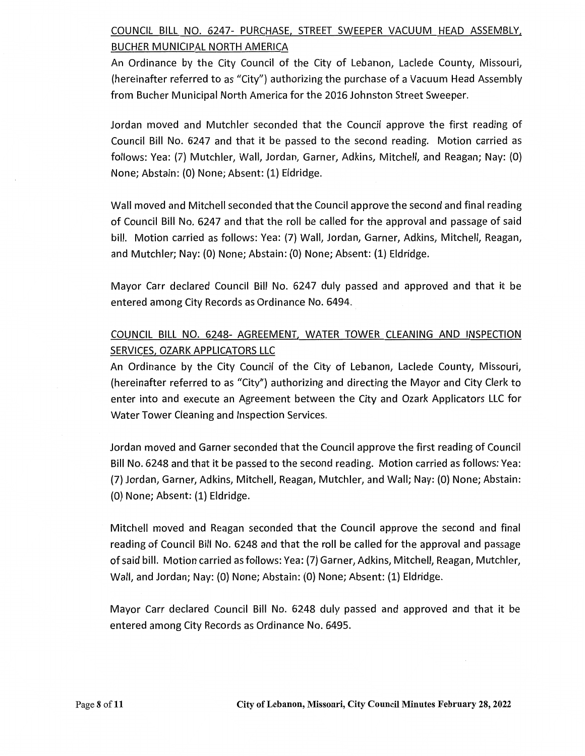# COUNCIL BILL NO. 6247- PURCHASE, STREET SWEEPER VACUUM HEAD ASSEMBLY, BUCHER MUNICIPAL NORTH AMERICA

An Ordinance by the City Council of the City of Lebanon, Laclede County, Missouri, {hereinafter referred to as "City") authorizing the purchase of a Vacuum Head Assembly from Bucher Municipal North America for the 2016 Johnston Street Sweeper.

Jordan moved and Mutchler seconded that the Council approve the first reading of Council Bill No. 6247 and that it be passed to the second reading. Motion carried as follows: Yea: (7) Mutchler, Wall, Jordan, Garner, Adkins, Mitchell, and Reagan; Nay: {O) None; Abstain: (O) None; Absent: (1) Eldridge.

Wall moved and Mitchell seconded that the Council approve the second and final reading of Council Bill No. 6247 and that the roll be called for the approval and passage of said bill. Motion carried as follows: Yea: (7) Wall, Jordan, Garner, Adkins, Mitchell, Reagan, and Mutchler; Nay: {O) None; Abstain: (O) None; Absent: (1) Eldridge.

Mayor Carr declared Council Bill No. 6247 duly passed and approved and that it be entered among City Records as Ordinance No. 6494.

# COUNCIL BILL NO. 6248- AGREEMENT, WATER TOWER CLEANING AND INSPECTION SERVICES, OZARK APPLICATORS LLC

An Ordinance by the City Council of the City of Lebanon, Laclede County, Missouri, {hereinafter referred to as "City") authorizing and directing the Mayor and City Clerk to enter into and execute an Agreement between the City and Ozark Applicators LLC for Water Tower Cleaning and Inspection Services.

Jordan moved and Garner seconded that the Council approve the first reading of Council Bill No. 6248 and that it be passed to the second reading. Motion carried as follows: Yea: {7) Jordan, Garner, Adkins, Mitchell, Reagan, Mutchler, and Wall; Nay: (O) None; Abstain: {O) None; Absent: (1) Eldridge.

Mitchell moved and Reagan seconded that the Council approve the second and final reading of Council Bill No. 6248 and that the roll be called for the approval and passage of said bill. Motion carried as follows: Yea: (7) Garner, Adkins, Mitchell, Reagan, Mutchler, Wall, and Jordan; Nay: {O) None; Abstain: {O) None; Absent: {1) Eldridge.

Mayor Carr declared Council Bill No. 6248 duly passed and approved and that it be entered among City Records as Ordinance No. 6495.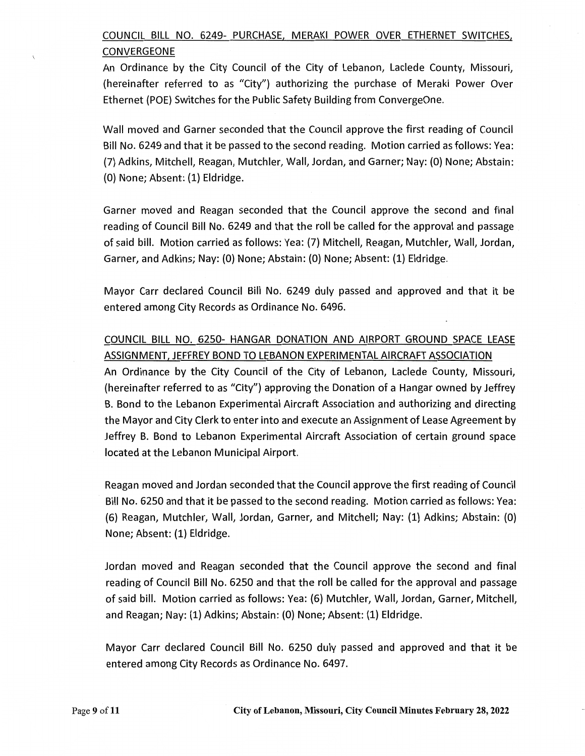# COUNCIL BILL NO. 6249- PURCHASE, MERAKI POWER OVER ETHERNET SWITCHES, CONVERGEONE

An Ordinance by the City Council of the City of Lebanon, Laclede County, Missouri, (hereinafter referred to as "City"} authorizing the purchase of Meraki Power Over Ethernet (POE} Switches for the Public Safety Building from ConvergeOne.

Wall moved and Garner seconded that the Council approve the first reading of Council Bill No. 6249 and that it be passed to the second reading. Motion carried as follows: Yea: (7) Adkins, Mitchell, Reagan, Mutchler, Wall, Jordan, and Garner; Nay: {0} None; Abstain: (0} None; Absent: {1} Eldridge.

Garner moved and Reagan seconded that the Council approve the second and final reading of Council Bill No. 6249 and that the roll be called for the approval and passage of said bill. Motion carried as follows: Yea: (7) Mitchell, Reagan, Mutchler, Wall, Jordan, Garner, and Adkins; Nay: (0} None; Abstain: {0} None; Absent: {1} Eldridge.

Mayor Carr declared Council Bill No. 6249 duly passed and approved and that it be entered among City Records as Ordinance No. 6496.

# COUNCIL BILL NO. 6250- HANGAR DONATION AND AIRPORT GROUND SPACE LEASE ASSIGNMENT, JEFFREY BOND TO LEBANON EXPERIMENTAL AIRCRAFT ASSOCIATION

An Ordinance by the City Council of the City of Lebanon, Laclede County, Missouri, (hereinafter referred to as "City"} approving the Donation of a Hangar owned by Jeffrey B. Bond to the Lebanon Experimental Aircraft Association and authorizing and directing the Mayor and City Clerk to enter into and execute an Assignment of Lease Agreement by Jeffrey B. Bond to Lebanon Experimental Aircraft Association of certain ground space located at the Lebanon Municipal Airport.

Reagan moved and Jordan seconded that the Council approve the first reading of Council Bill No. 6250 and that it be passed to the second reading. Motion carried as follows: Yea: {6} Reagan, Mutchler, Wall, Jordan, Garner, and Mitchell; Nay: {1} Adkins; Abstain: (0) None; Absent: {1} Eldridge.

Jordan moved and Reagan seconded that the Council approve the second and final reading of Council Bill No. 6250 and that the roll be called for the approval and passage of said bill. Motion carried as follows: Yea: {6} Mutchler, Wall, Jordan, Garner, Mitchell, and Reagan; Nay: {1} Adkins; Abstain: (O} None; Absent: {1} Eldridge.

Mayor Carr declared Council Bill No. 6250 duly passed and approved and that it be entered among City Records as Ordinance No. 6497.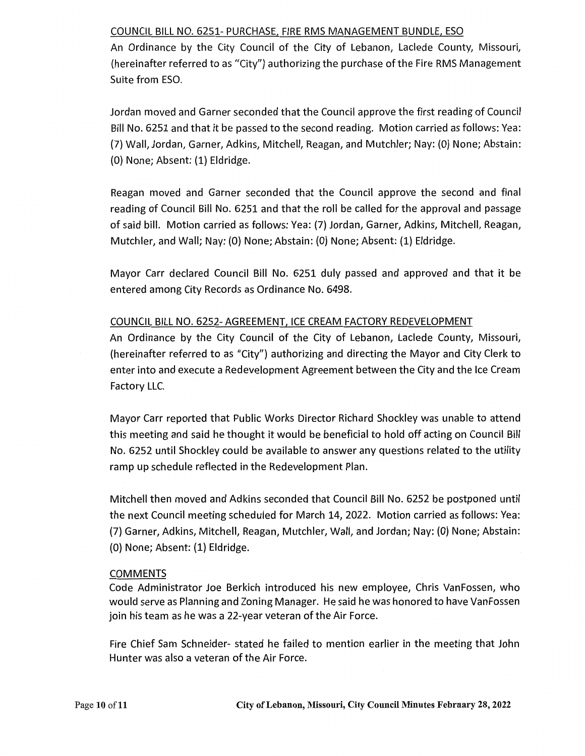## COUNCIL BILL NO. 6251- PURCHASE, FIRE RMS MANAGEMENT BUNDLE, ESO

An Ordinance by the City Council of the City of Lebanon, Laclede County, Missouri, (hereinafter referred to as "City"} authorizing the purchase of the Fire RMS Management Suite from ESO.

Jordan moved and Garner seconded that the Council approve the first reading of Council Bill No. 6251 and that it be passed to the second reading. Motion carried as follows: Yea: {7} Wall, Jordan, Garner, Adkins, Mitchell, Reagan, and Mutchler; Nay: (O} None; Abstain: (O) None; Absent: {1} Eldridge.

Reagan moved and Garner seconded that the Council approve the second and final reading of Council Bill No. 6251 and that the roll be called for the approval and passage of said bill. Motion carried as follows: Yea: (7) Jordan, Garner, Adkins, Mitchell, Reagan, Mutchler, and Wall; Nay: (O} None; Abstain: (O} None; Absent: (1} Eldridge.

Mayor Carr declared Council Bill No. 6251 duly passed and approved and that it be entered among City Records as Ordinance No. 6498.

## COUNCIL BILL NO. 6252- AGREEMENT, ICE CREAM FACTORY REDEVELOPMENT

An Ordinance by the City Council of the City of Lebanon, Laclede County, Missouri, (hereinafter referred to as "City"} authorizing and directing the Mayor and City Clerk to enter into and execute a Redevelopment Agreement between the City and the Ice Cream Factory LLC.

Mayor Carr reported that Public Works Director Richard Shockley was unable to attend this meeting and said he thought it would be beneficial to hold off acting on Council Bill No. 6252 until Shockley could be available to answer any questions related to the utility ramp up schedule reflected in the Redevelopment Plan.

Mitchell then moved and Adkins seconded that Council Bill No. 6252 be postponed until the next Council meeting scheduled for March 14, 2022. Motion carried as follows: Yea: (7) Garner, Adkins, Mitchell, Reagan, Mutchler, Wall, and Jordan; Nay: (O} None; Abstain: (O} None; Absent: {1} Eldridge.

## COMMENTS

Code Administrator Joe Berkich introduced his new employee, Chris VanFossen, who would serve as Planning and Zoning Manager. He said he was honored to have Van Fossen join his team as he was a 22-year veteran of the Air Force.

Fire Chief Sam Schneider- stated he failed to mention earlier in the meeting that John Hunter was also a veteran of the Air Force.